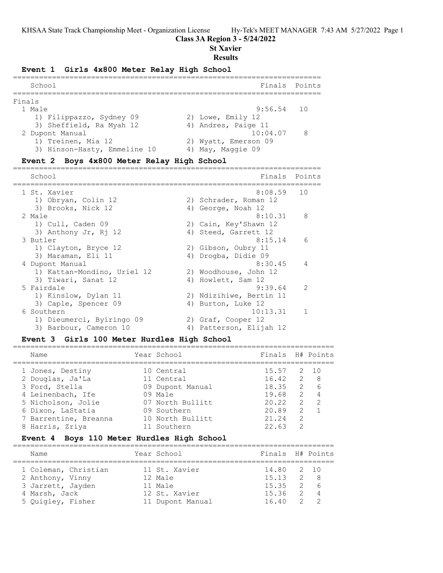## **Class 3A Region 3 - 5/24/2022**

**St Xavier**

## **Results**

## **Event 1 Girls 4x800 Meter Relay High School**

| School                       | Finals Points              |
|------------------------------|----------------------------|
| Finals                       |                            |
| 1 Male                       | $9:56.54$ 10               |
| 1) Filippazzo, Sydney 09     | 2) Lowe, Emily 12          |
| 3) Sheffield, Ra Myah 12     | 4) Andres, Paige 11        |
| 2 Dupont Manual              | 10:04.07<br>$\overline{R}$ |
| 1) Treinen, Mia 12           | 2) Wyatt, Emerson 09       |
| 3) Hinson-Hasty, Emmeline 10 | 4) May, Maggie 09          |
|                              |                            |

## **Event 2 Boys 4x800 Meter Relay High School**

| School                      | Finals                  | Points         |
|-----------------------------|-------------------------|----------------|
| 1 St. Xavier                | 8:08.59                 | 10             |
| 1) Obryan, Colin 12         | 2) Schrader, Roman 12   |                |
| 3) Brooks, Nick 12          | 4) George, Noah 12      |                |
| 2 Male                      | 8:10.31                 | 8              |
| 1) Cull, Caden 09           | 2) Cain, Key'Shawn 12   |                |
| 3) Anthony Jr, Rj 12        | 4) Steed, Garrett 12    |                |
| 3 Butler                    | 8:15.14                 | 6              |
| 1) Clayton, Bryce 12        | 2) Gibson, Oubry 11     |                |
| 3) Maraman, Eli 11          | 4) Drogba, Didie 09     |                |
| 4 Dupont Manual             | 8:30.45                 | $\overline{4}$ |
| 1) Kattan-Mondino, Uriel 12 | 2) Woodhouse, John 12   |                |
| 3) Tiwari, Sanat 12         | 4) Howlett, Sam 12      |                |
| 5 Fairdale                  | 9:39.64                 | 2              |
| 1) Kinslow, Dylan 11        | 2) Ndizihiwe, Bertin 11 |                |
| 3) Caple, Spencer 09        | 4) Burton, Luke 12      |                |
| 6 Southern                  | 10:13.31                | -1             |
| 1) Dieumerci, Byiringo 09   | 2) Graf, Cooper 12      |                |
| 3) Barbour, Cameron 10      | 4) Patterson, Elijah 12 |                |

## **Event 3 Girls 100 Meter Hurdles High School**

| Name                  | Year School      | Finals H# Points  |                |     |
|-----------------------|------------------|-------------------|----------------|-----|
| 1 Jones, Destiny      | 10 Central       | 15.57 2 10        |                |     |
| 2 Douglas, Ja'La      | 11 Central       | $16.42 \t 2 8$    |                |     |
| 3 Ford, Stella        | 09 Dupont Manual | 18.35             |                | 2 6 |
| 4 Leinenbach, Ife     | $09$ Male        | 19.68 2 4         |                |     |
| 5 Nicholson, Jolie    | 07 North Bullitt | $20.22 \t 2 \t 2$ |                |     |
| 6 Dixon, LaStatia     | 09 Southern      | 20.89             | $\overline{2}$ |     |
| 7 Barrentine, Breanna | 10 North Bullitt | 21.24             | $\mathcal{L}$  |     |
| 8 Harris, Zriya       | 11 Southern      | 22.63             | 2              |     |

## **Event 4 Boys 110 Meter Hurdles High School**

| Name                 |  | Year School      | Finals H# Points |  |  |  |  |  |  |  |  |
|----------------------|--|------------------|------------------|--|--|--|--|--|--|--|--|
| 1 Coleman, Christian |  | 11 St. Xavier    | 14.80 2 10       |  |  |  |  |  |  |  |  |
|                      |  |                  |                  |  |  |  |  |  |  |  |  |
| 2 Anthony, Vinny     |  | 12 Male          | $15.13$ 2 8      |  |  |  |  |  |  |  |  |
| 3 Jarrett, Jayden    |  | $11$ Male        | $15.35 \t 2.6$   |  |  |  |  |  |  |  |  |
| 4 Marsh, Jack        |  | 12 St. Xavier    | $15.36$ 2 4      |  |  |  |  |  |  |  |  |
| 5 Ouigley, Fisher    |  | 11 Dupont Manual | $16.40$ 2 2      |  |  |  |  |  |  |  |  |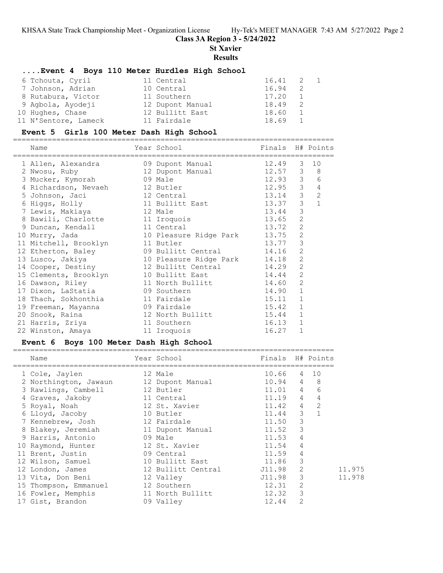**Class 3A Region 3 - 5/24/2022**

**St Xavier**

**Results**

#### **....Event 4 Boys 110 Meter Hurdles High School**

| 6 Tchouta, Cyril     | 11 Central       | 16.41 | 2 1 |  |
|----------------------|------------------|-------|-----|--|
| 7 Johnson, Adrian    | 10 Central       | 16.94 |     |  |
| 8 Rutabura, Victor   | 11 Southern      | 17.20 |     |  |
| 9 Agbola, Ayodeji    | 12 Dupont Manual | 18.49 |     |  |
| 10 Hughes, Chase     | 12 Bullitt East  | 18.60 |     |  |
| 11 N'Sentore, Lameck | 11 Fairdale      | 18.69 |     |  |

#### **Event 5 Girls 100 Meter Dash High School**

========================================================================== Year School Finals H# Points ========================================================================== 1 Allen, Alexandra 09 Dupont Manual 12.49 3 10 2 Nwosu, Ruby 12 Dupont Manual 12.57 3 8 3 Mucker, Kymorah 09 Male 12.93 3 6 4 Richardson, Nevaeh 12 Butler 12.95 3 4 5 Johnson, Jaci 12 Central 13.14 3 2 6 Higgs, Holly 11 Bullitt East 13.37 3 1 7 Lewis, Makiaya 12 Male 13.44 3 8 Bawili, Charlotte 11 Iroquois 13.65 2 9 Duncan, Kendall 11 Central 13.72 2 10 Murry, Jada 10 Pleasure Ridge Park 13.75 2 11 Mitchell, Brooklyn 11 Butler 13.77 3 12 Etherton, Baley 19 Bullitt Central 14.16 2 13 Lusco, Jakiya 10 Pleasure Ridge Park 14.18 2 14 Cooper, Destiny 12 Bullitt Central 14.29 2 15 Clements, Brooklyn 10 Bullitt East 14.44 2 16 Dawson, Riley 11 North Bullitt 14.60 2 17 Dixon, LaStatia 09 Southern 14.90 1 18 Thach, Sokhonthia 11 Fairdale 15.11 1 19 Freeman, Mayanna 09 Fairdale 15.42 1 20 Snook, Raina 12 North Bullitt 15.44 1 21 Harris, Zriya 11 Southern 16.13 1 22 Winston, Amaya 11 Iroquois 16.27 1

#### **Event 6 Boys 100 Meter Dash High School**

| Year School<br>Finals H# Points<br>Name<br>10.66<br>4 10<br>1 Cole, Jaylen<br>12 Male<br>$10.94$ 4 8<br>2 Northington, Jawaun 12 Dupont Manual<br>$11.01$ 4<br>6<br>3 Rawlings, Cambell 12 Butler<br>11.19 4<br>$\overline{4}$<br>4 Graves, Jakoby<br>11 Central<br>2<br>11.42 4<br>12 St. Xavier<br>5 Royal, Noah<br>$\mathbf{1}$<br>11.44 3<br>6 Lloyd, Jacoby<br>10 Butler<br>3<br>7 Kennebrew, Josh<br>11.50<br>12 Fairdale<br>$\mathcal{S}$<br>11.52<br>8 Blakey, Jeremiah 11 Dupont Manual<br>4<br>09 Male<br>11.53<br>9 Harris, Antonio<br>4<br>10 Raymond, Hunter 12 St. Xavier<br>11.54<br>4<br>11.59<br>09 Central<br>11 Brent, Justin<br>3<br>10 Bullitt East<br>11.86<br>12 Wilson, Samuel<br>2<br>12 Bullitt Central<br>J11.98<br>11.975<br>12 London, James<br>J11.98 3<br>13 Vita, Don Beni<br>11.978<br>12 Valley<br>2<br>12.31<br>15 Thompson, Emmanuel 12 Southern<br>3<br>12.32<br>16 Fowler, Memphis<br>11 North Bullitt<br>$\overline{2}$<br>09 Valley<br>17 Gist, Brandon<br>12.44 |  |  |  |  |
|----------------------------------------------------------------------------------------------------------------------------------------------------------------------------------------------------------------------------------------------------------------------------------------------------------------------------------------------------------------------------------------------------------------------------------------------------------------------------------------------------------------------------------------------------------------------------------------------------------------------------------------------------------------------------------------------------------------------------------------------------------------------------------------------------------------------------------------------------------------------------------------------------------------------------------------------------------------------------------------------------------|--|--|--|--|
|                                                                                                                                                                                                                                                                                                                                                                                                                                                                                                                                                                                                                                                                                                                                                                                                                                                                                                                                                                                                          |  |  |  |  |
|                                                                                                                                                                                                                                                                                                                                                                                                                                                                                                                                                                                                                                                                                                                                                                                                                                                                                                                                                                                                          |  |  |  |  |
|                                                                                                                                                                                                                                                                                                                                                                                                                                                                                                                                                                                                                                                                                                                                                                                                                                                                                                                                                                                                          |  |  |  |  |
|                                                                                                                                                                                                                                                                                                                                                                                                                                                                                                                                                                                                                                                                                                                                                                                                                                                                                                                                                                                                          |  |  |  |  |
|                                                                                                                                                                                                                                                                                                                                                                                                                                                                                                                                                                                                                                                                                                                                                                                                                                                                                                                                                                                                          |  |  |  |  |
|                                                                                                                                                                                                                                                                                                                                                                                                                                                                                                                                                                                                                                                                                                                                                                                                                                                                                                                                                                                                          |  |  |  |  |
|                                                                                                                                                                                                                                                                                                                                                                                                                                                                                                                                                                                                                                                                                                                                                                                                                                                                                                                                                                                                          |  |  |  |  |
|                                                                                                                                                                                                                                                                                                                                                                                                                                                                                                                                                                                                                                                                                                                                                                                                                                                                                                                                                                                                          |  |  |  |  |
|                                                                                                                                                                                                                                                                                                                                                                                                                                                                                                                                                                                                                                                                                                                                                                                                                                                                                                                                                                                                          |  |  |  |  |
|                                                                                                                                                                                                                                                                                                                                                                                                                                                                                                                                                                                                                                                                                                                                                                                                                                                                                                                                                                                                          |  |  |  |  |
|                                                                                                                                                                                                                                                                                                                                                                                                                                                                                                                                                                                                                                                                                                                                                                                                                                                                                                                                                                                                          |  |  |  |  |
|                                                                                                                                                                                                                                                                                                                                                                                                                                                                                                                                                                                                                                                                                                                                                                                                                                                                                                                                                                                                          |  |  |  |  |
|                                                                                                                                                                                                                                                                                                                                                                                                                                                                                                                                                                                                                                                                                                                                                                                                                                                                                                                                                                                                          |  |  |  |  |
|                                                                                                                                                                                                                                                                                                                                                                                                                                                                                                                                                                                                                                                                                                                                                                                                                                                                                                                                                                                                          |  |  |  |  |
|                                                                                                                                                                                                                                                                                                                                                                                                                                                                                                                                                                                                                                                                                                                                                                                                                                                                                                                                                                                                          |  |  |  |  |
|                                                                                                                                                                                                                                                                                                                                                                                                                                                                                                                                                                                                                                                                                                                                                                                                                                                                                                                                                                                                          |  |  |  |  |
|                                                                                                                                                                                                                                                                                                                                                                                                                                                                                                                                                                                                                                                                                                                                                                                                                                                                                                                                                                                                          |  |  |  |  |
|                                                                                                                                                                                                                                                                                                                                                                                                                                                                                                                                                                                                                                                                                                                                                                                                                                                                                                                                                                                                          |  |  |  |  |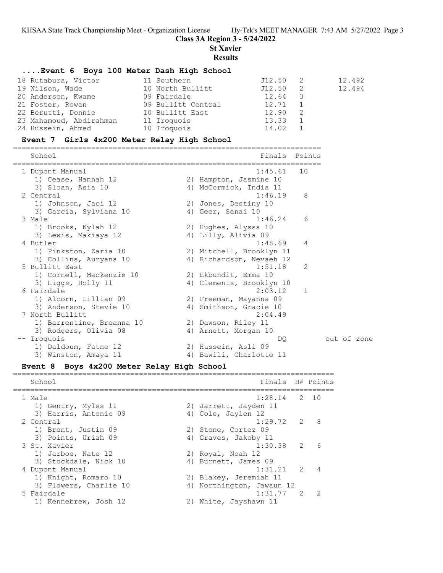**Class 3A Region 3 - 5/24/2022**

**St Xavier**

**Results**

#### **....Event 6 Boys 100 Meter Dash High School**

| 18 Rutabura, Victor     | 11 Southern        | J12.50  |   | 12.492 |
|-------------------------|--------------------|---------|---|--------|
| 19 Wilson, Wade         | 10 North Bullitt   | J12.50  | 2 | 12.494 |
| 20 Anderson, Kwame      | 09 Fairdale        | 12.64 3 |   |        |
| 21 Foster, Rowan        | 09 Bullitt Central | 12.71   |   |        |
| 22 Berutti, Donnie      | 10 Bullitt East    | 12.90   |   |        |
| 23 Mahamoud, Abdirahman | 11 Iroquois        | 13.33   |   |        |
| 24 Hussein, Ahmed       | 10 Iroquois        | 14.02 1 |   |        |

#### **Event 7 Girls 4x200 Meter Relay High School**

======================================================================= School **Finals** Points ======================================================================= 1 Dupont Manual 1:45.61 10 1) Cease, Hannah 12 2) Hampton, Jasmine 10 3) Sloan, Asia 10 4) McCormick, India 11 2 Central 1:46.19 8 1) Johnson, Jaci 12 2) Jones, Destiny 10 3) Garcia, Sylviana 10 (4) Geer, Sanai 10 3 Male 1:46.24 6 1) Brooks, Kylah 12 2) Hughes, Alyssa 10 3) Lewis, Makiaya 12 (4) Lilly, Alivia 09 4 Butler 1:48.69 4 1) Pinkston, Zaria 10 2) Mitchell, Brooklyn 11 3) Collins, Auryana 10 4) Richardson, Nevaeh 12 5 Bullitt East 1:51.18 2 1) Cornell, Mackenzie 10 2) Ekbundit, Emma 10 3) Higgs, Holly 11 4) Clements, Brooklyn 10 6 Fairdale 2:03.12 1 1) Alcorn, Lillian 09 2) Freeman, Mayanna 09 3) Anderson, Stevie 10 4) Smithson, Gracie 10 7 North Bullitt 2:04.49 1) Barrentine, Breanna 10 2) Dawson, Riley 11 3) Rodgers, Olivia 08 (4) Arnett, Morgan 10 -- Iroquois DQ out of zone 1) Daldoum, Fatne 12 2) Hussein, Asli 09 3) Winston, Amaya 11 4) Bawili, Charlotte 11

#### **Event 8 Boys 4x200 Meter Relay High School**

School **Finals** H# Points ==========================================================================  $1:28.14$  2 10 1) Gentry, Myles 11 2) Jarrett, Jayden 11 3) Harris, Antonio 09 (4) Cole, Jaylen 12 2 Central 1:29.72 2 8 1) Brent, Justin 09 2) Stone, Cortez 09 3) Points, Uriah 09 1988 4) Graves, Jakoby 11 3 St. Xavier 1:30.38 2 6 1) Jarboe, Nate 12 2) Royal, Noah 12 3) Stockdale, Nick 10 (4) Burnett, James 09 4 Dupont Manual 1:31.21 2 4 1) Knight, Romaro 10 2) Blakey, Jeremiah 11 3) Flowers, Charlie 10 4) Northington, Jawaun 12 5 Fairdale 1:31.77 2 2 1) Kennebrew, Josh 12 2) White, Jayshawn 11

==========================================================================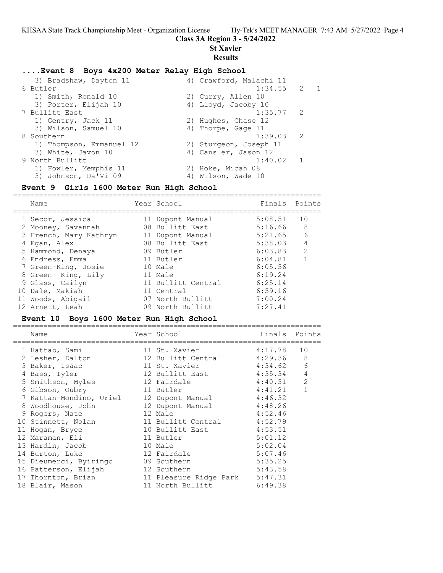## **Class 3A Region 3 - 5/24/2022**

**St Xavier**

=======================================================================

## **Results**

## **....Event 8 Boys 4x200 Meter Relay High School**

| 3) Bradshaw, Dayton 11   | 4) Crawford, Malachi 11 |                |
|--------------------------|-------------------------|----------------|
| 6 Butler                 | $1:34.55$ 2             | $\overline{1}$ |
| 1) Smith, Ronald 10      | 2) Curry, Allen 10      |                |
| 3) Porter, Elijah 10     | 4) Lloyd, Jacoby 10     |                |
| 7 Bullitt East           | $1:35.77$ 2             |                |
| 1) Gentry, Jack 11       | 2) Hughes, Chase 12     |                |
| 3) Wilson, Samuel 10     | 4) Thorpe, Gage 11      |                |
| 8 Southern               | $1:39.03$ 2             |                |
| 1) Thompson, Emmanuel 12 | 2) Sturgeon, Joseph 11  |                |
| 3) White, Javon 10       | 4) Cansler, Jason 12    |                |
| 9 North Bullitt          | 1:40.02 1               |                |
| 1) Fowler, Memphis 11    | 2) Hoke, Micah 08       |                |
| 3) Johnson, Da'Vi 09     | 4) Wilson, Wade 10      |                |
|                          |                         |                |

## **Event 9 Girls 1600 Meter Run High School**

| Name                   | Year School        | Finals  | Points         |
|------------------------|--------------------|---------|----------------|
| 1 Secor, Jessica       | 11 Dupont Manual   | 5:08.51 | 10             |
| 2 Mooney, Savannah     | 08 Bullitt East    | 5:16.66 | 8              |
| 3 French, Mary Kathryn | 11 Dupont Manual   | 5:21.65 | 6              |
| 4 Egan, Alex           | 08 Bullitt East    | 5:38.03 | $\overline{4}$ |
| 5 Hammond, Denaya      | 09 Butler          | 6:03.83 | $\mathcal{L}$  |
| 6 Endress, Emma        | 11 Butler          | 6:04.81 |                |
| 7 Green-King, Josie    | 10 Male            | 6:05.56 |                |
| 8 Green- King, Lily    | 11 Male            | 6:19.24 |                |
| 9 Glass, Cailyn        | 11 Bullitt Central | 6:25.14 |                |
| 10 Dale, Makiah        | 11 Central         | 6:59.16 |                |
| 11 Woods, Abigail      | 07 North Bullitt   | 7:00.24 |                |
| 12 Arnett, Leah        | 09 North Bullitt   | 7:27.41 |                |
|                        |                    |         |                |

## **Event 10 Boys 1600 Meter Run High School**

| Name                               |         | Year School Dear School    | Finals Points |              |
|------------------------------------|---------|----------------------------|---------------|--------------|
| 1 Hattab, Sami                     |         | 11 St. Xavier 4:17.78      |               | 10           |
| 2 Lesher, Dalton                   |         | 12 Bullitt Central 4:29.36 |               | - 8          |
| 3 Baker, Isaac                     |         | 11 St. Xavier              | 4:34.62       | 6            |
| 4 Bass, Tyler                      |         | 12 Bullitt East            | 4:35.34       | 4            |
| 5 Smithson, Myles                  |         | 12 Fairdale                | 4:40.51       | 2            |
| 6 Gibson, Oubry                    |         | 11 Butler                  | 4:41.21       | $\mathbf{1}$ |
| 7 Kattan-Mondino, Uriel            |         | 12 Dupont Manual 4:46.32   |               |              |
| 8 Woodhouse, John                  |         | 12 Dupont Manual 4:48.26   |               |              |
| 9 Rogers, Nate                     |         | 12 Male                    | 4:52.46       |              |
| 10 Stinnett, Nolan                 |         | 11 Bullitt Central         | 4:52.79       |              |
| 11 Hogan, Bryce                    |         | 10 Bullitt East            | 4:53.51       |              |
| 12 Maraman, Eli                    |         | 11 Butler                  | 5:01.12       |              |
| 13 Hardin, Jacob                   | 10 Male |                            | 5:02.04       |              |
| 14 Burton, Luke                    |         | 12 Fairdale                | 5:07.46       |              |
| 15 Dieumerci, Byiringo 69 Southern |         |                            | 5:35.25       |              |
| 16 Patterson, Elijah               |         | 12 Southern                | 5:43.58       |              |
| 17 Thornton, Brian                 |         | 11 Pleasure Ridge Park     | 5:47.31       |              |
| 18 Blair, Mason                    |         | 11 North Bullitt           | 6:49.38       |              |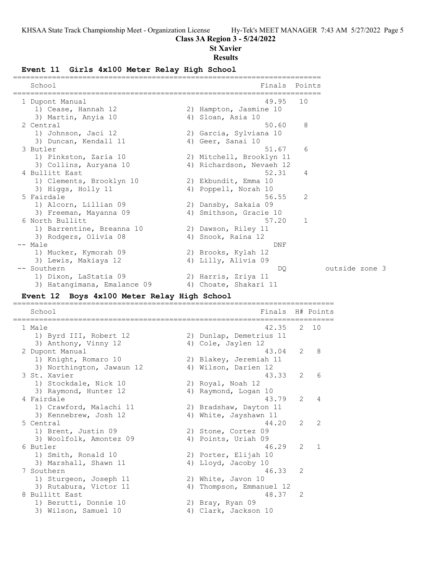#### **Class 3A Region 3 - 5/24/2022**

#### **St Xavier**

#### **Results**

#### **Event 11 Girls 4x100 Meter Relay High School**

| School                      |    | Finals Points            |    |                |  |
|-----------------------------|----|--------------------------|----|----------------|--|
| 1 Dupont Manual             |    | 49.95                    | 10 |                |  |
| 1) Cease, Hannah 12         |    | 2) Hampton, Jasmine 10   |    |                |  |
| 3) Martin, Anyia 10         |    | 4) Sloan, Asia 10        |    |                |  |
| 2 Central                   |    | 50.60                    | 8  |                |  |
| 1) Johnson, Jaci 12         |    | 2) Garcia, Sylviana 10   |    |                |  |
| 3) Duncan, Kendall 11       |    | 4) Geer, Sanai 10        |    |                |  |
| 3 Butler                    |    | 51.67                    | 6  |                |  |
| 1) Pinkston, Zaria 10       |    | 2) Mitchell, Brooklyn 11 |    |                |  |
| 3) Collins, Auryana 10      |    | 4) Richardson, Nevaeh 12 |    |                |  |
| 4 Bullitt East              |    | 52.31                    | 4  |                |  |
| 1) Clements, Brooklyn 10    |    | 2) Ekbundit, Emma 10     |    |                |  |
| 3) Higgs, Holly 11          |    | 4) Poppell, Norah 10     |    |                |  |
| 5 Fairdale                  |    | 56.55                    | 2  |                |  |
| 1) Alcorn, Lillian 09       |    | 2) Dansby, Sakaia 09     |    |                |  |
| 3) Freeman, Mayanna 09      | 4) | Smithson, Gracie 10      |    |                |  |
| 6 North Bullitt             |    | 57.20                    | 1  |                |  |
| 1) Barrentine, Breanna 10   |    | 2) Dawson, Riley 11      |    |                |  |
| 3) Rodgers, Olivia 08       | 4) | Snook, Raina 12          |    |                |  |
| -- Male                     |    | DNF                      |    |                |  |
| 1) Mucker, Kymorah 09       |    | 2) Brooks, Kylah 12      |    |                |  |
| 3) Lewis, Makiaya 12        |    | 4) Lilly, Alivia 09      |    |                |  |
| -- Southern                 |    | DO.                      |    | outside zone 3 |  |
| 1) Dixon, LaStatia 09       |    | 2) Harris, Zriya 11      |    |                |  |
| 3) Hatangimana, Emalance 09 |    | 4) Choate, Shakari 11    |    |                |  |

#### **Event 12 Boys 4x100 Meter Relay High School**

========================================================================== School Finals H# Points ========================================================================== 1 Male 42.35 2 10 1) Byrd III, Robert 12 2) Dunlap, Demetrius 11 3) Anthony, Vinny 12 (4) Cole, Jaylen 12 2 Dupont Manual 43.04 2 8 1) Knight, Romaro 10 2) Blakey, Jeremiah 11 3) Northington, Jawaun 12  $\hskip10mm$  4) Wilson, Darien 12 3 St. Xavier 43.33 2 6 1) Stockdale, Nick 10 2) Royal, Noah 12 3) Stockdale, Nick 10<br>
3) Raymond, Hunter 12 (4) Raymond, Logan 10<br>
Fairdale (43.79 (2) 4 4 Fairdale 43.79 2 4 1) Crawford, Malachi 11 2) Bradshaw, Dayton 11 3) Kennebrew, Josh 12 4) White, Jayshawn 11 5 Central 44.20 2 2 1) Brent, Justin 09 2) Stone, Cortez 09 3) Woolfolk, Amontez 09 (4) Points, Uriah 09 6 Butler 46.29 2 1 1) Smith, Ronald 10 2) Porter, Elijah 10 3) Marshall, Shawn 11 4) Lloyd, Jacoby 10 7 Southern 46.33 2 1) Sturgeon, Joseph 11 2) White, Javon 10 3) Rutabura, Victor 11 (4) Thompson, Emmanuel 12 8 Bullitt East 48.37 2 1) Berutti, Donnie 10 10 2) Bray, Ryan 09

3) Wilson, Samuel 10 (4) Clark, Jackson 10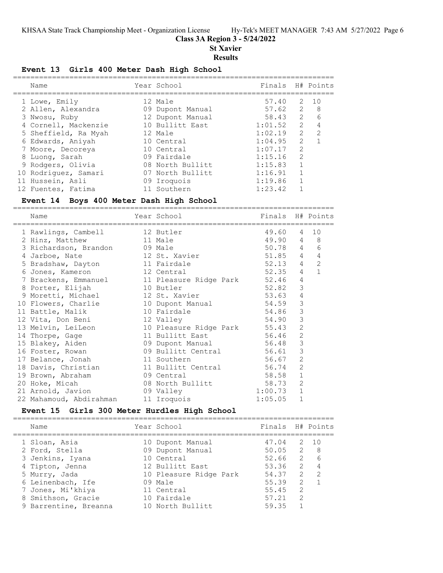## **Class 3A Region 3 - 5/24/2022**

**St Xavier**

#### **Results**

## **Event 13 Girls 400 Meter Dash High School**

| Name                 | Year School      | Finals H# Points |                |                |
|----------------------|------------------|------------------|----------------|----------------|
| 1 Lowe, Emily        | 12 Male          | 57.40            | 2              | 10             |
| 2 Allen, Alexandra   | 09 Dupont Manual | $57.62$ 2        |                | - 8            |
| 3 Nwosu, Ruby        | 12 Dupont Manual | 58.43            | $2^{\circ}$    | - 6            |
| 4 Cornell, Mackenzie | 10 Bullitt East  | 1:01.52          | 2              | $\overline{4}$ |
| 5 Sheffield, Ra Myah | 12 Male          | 1:02.19          | $\overline{2}$ | $\overline{2}$ |
| 6 Edwards, Aniyah    | 10 Central       | 1:04.95          | 2              |                |
| 7 Moore, Decoreya    | 10 Central       | 1:07.17          | $\mathcal{L}$  |                |
| 8 Luong, Sarah       | 09 Fairdale      | 1:15.16          | $\mathcal{L}$  |                |
| 9 Rodgers, Olivia    | 08 North Bullitt | 1:15.83          |                |                |
| 10 Rodriguez, Samari | 07 North Bullitt | 1:16.91          | $\overline{1}$ |                |
| 11 Hussein, Asli     | 09 Iroquois      | 1:19.86          |                |                |
| 12 Fuentes, Fatima   | 11 Southern      | 1:23.42          |                |                |

## **Event 14 Boys 400 Meter Dash High School**

| Name |                                                                                                                                                                              |                                                                                         |                                                                                                                                                                                                                                                                                                             |                                                                                                                                                                                                                                            |                                                                                                                                                                                                                                                                                                                                                                         |
|------|------------------------------------------------------------------------------------------------------------------------------------------------------------------------------|-----------------------------------------------------------------------------------------|-------------------------------------------------------------------------------------------------------------------------------------------------------------------------------------------------------------------------------------------------------------------------------------------------------------|--------------------------------------------------------------------------------------------------------------------------------------------------------------------------------------------------------------------------------------------|-------------------------------------------------------------------------------------------------------------------------------------------------------------------------------------------------------------------------------------------------------------------------------------------------------------------------------------------------------------------------|
|      |                                                                                                                                                                              |                                                                                         |                                                                                                                                                                                                                                                                                                             |                                                                                                                                                                                                                                            | 10                                                                                                                                                                                                                                                                                                                                                                      |
|      |                                                                                                                                                                              |                                                                                         |                                                                                                                                                                                                                                                                                                             |                                                                                                                                                                                                                                            |                                                                                                                                                                                                                                                                                                                                                                         |
|      |                                                                                                                                                                              |                                                                                         |                                                                                                                                                                                                                                                                                                             |                                                                                                                                                                                                                                            | 6                                                                                                                                                                                                                                                                                                                                                                       |
|      |                                                                                                                                                                              |                                                                                         |                                                                                                                                                                                                                                                                                                             |                                                                                                                                                                                                                                            | $\overline{4}$                                                                                                                                                                                                                                                                                                                                                          |
|      |                                                                                                                                                                              |                                                                                         |                                                                                                                                                                                                                                                                                                             |                                                                                                                                                                                                                                            | 2                                                                                                                                                                                                                                                                                                                                                                       |
|      |                                                                                                                                                                              |                                                                                         |                                                                                                                                                                                                                                                                                                             | $\overline{4}$                                                                                                                                                                                                                             | $\mathbf{1}$                                                                                                                                                                                                                                                                                                                                                            |
|      |                                                                                                                                                                              |                                                                                         |                                                                                                                                                                                                                                                                                                             | 4                                                                                                                                                                                                                                          |                                                                                                                                                                                                                                                                                                                                                                         |
|      |                                                                                                                                                                              |                                                                                         |                                                                                                                                                                                                                                                                                                             | 3                                                                                                                                                                                                                                          |                                                                                                                                                                                                                                                                                                                                                                         |
|      |                                                                                                                                                                              |                                                                                         |                                                                                                                                                                                                                                                                                                             | $\sqrt{4}$                                                                                                                                                                                                                                 |                                                                                                                                                                                                                                                                                                                                                                         |
|      |                                                                                                                                                                              |                                                                                         |                                                                                                                                                                                                                                                                                                             | $\mathcal{S}$                                                                                                                                                                                                                              |                                                                                                                                                                                                                                                                                                                                                                         |
|      |                                                                                                                                                                              |                                                                                         |                                                                                                                                                                                                                                                                                                             | 3                                                                                                                                                                                                                                          |                                                                                                                                                                                                                                                                                                                                                                         |
|      |                                                                                                                                                                              |                                                                                         |                                                                                                                                                                                                                                                                                                             | 3                                                                                                                                                                                                                                          |                                                                                                                                                                                                                                                                                                                                                                         |
|      |                                                                                                                                                                              |                                                                                         |                                                                                                                                                                                                                                                                                                             | $\overline{2}$                                                                                                                                                                                                                             |                                                                                                                                                                                                                                                                                                                                                                         |
|      |                                                                                                                                                                              |                                                                                         |                                                                                                                                                                                                                                                                                                             | $\overline{2}$                                                                                                                                                                                                                             |                                                                                                                                                                                                                                                                                                                                                                         |
|      |                                                                                                                                                                              |                                                                                         |                                                                                                                                                                                                                                                                                                             | 3                                                                                                                                                                                                                                          |                                                                                                                                                                                                                                                                                                                                                                         |
|      |                                                                                                                                                                              |                                                                                         |                                                                                                                                                                                                                                                                                                             | 3                                                                                                                                                                                                                                          |                                                                                                                                                                                                                                                                                                                                                                         |
|      |                                                                                                                                                                              |                                                                                         |                                                                                                                                                                                                                                                                                                             | 2                                                                                                                                                                                                                                          |                                                                                                                                                                                                                                                                                                                                                                         |
|      |                                                                                                                                                                              |                                                                                         |                                                                                                                                                                                                                                                                                                             | $\overline{2}$                                                                                                                                                                                                                             |                                                                                                                                                                                                                                                                                                                                                                         |
|      |                                                                                                                                                                              |                                                                                         |                                                                                                                                                                                                                                                                                                             | $\mathbf{1}$                                                                                                                                                                                                                               |                                                                                                                                                                                                                                                                                                                                                                         |
|      |                                                                                                                                                                              |                                                                                         |                                                                                                                                                                                                                                                                                                             | 2                                                                                                                                                                                                                                          |                                                                                                                                                                                                                                                                                                                                                                         |
|      |                                                                                                                                                                              |                                                                                         |                                                                                                                                                                                                                                                                                                             | $\mathbf{1}$                                                                                                                                                                                                                               |                                                                                                                                                                                                                                                                                                                                                                         |
|      |                                                                                                                                                                              |                                                                                         | 1:05.05                                                                                                                                                                                                                                                                                                     | $\mathbf{1}$                                                                                                                                                                                                                               |                                                                                                                                                                                                                                                                                                                                                                         |
|      | 2 Hinz, Matthew<br>4 Jarboe, Nate<br>6 Jones, Kameron<br>8 Porter, Elijah<br>11 Battle, Malik<br>14 Thorpe, Gage<br>17 Belance, Jonah<br>19 Brown, Abraham<br>20 Hoke, Micah | 12 Vita, Don Beni<br>13 Melvin, LeiLeon<br>21 Arnold, Javion<br>22 Mahamoud, Abdirahman | 1 Rawlings, Cambell 12 Butler<br>and 11 Male<br>3 Richardson, Brandon 09 Male<br>12 St. Xavier<br>5 Bradshaw, Dayton 11 Fairdale<br>and 12 Central<br>10 Butler<br>9 Moretti, Michael 12 St. Xavier<br>10 Fairdale<br>12 Valley<br>11 Bullitt East<br>11 Southern<br>09 Central<br>09 Valley<br>11 Iroquois | Year School in the control of the control of the control of the control of the control of the control of the c<br>54.86<br>54.90<br>15 Blakey, Aiden 69 Dupont Manual 56.48<br>16 Foster, Rowan 69 Bullitt Central 56.61<br>56.67<br>58.58 | Finals H# Points<br>49.60<br>$\overline{4}$<br>49.90 4 8<br>50.78 4<br>$51.85$ 4<br>$\overline{4}$<br>52.13<br>52.35<br>7 Brackens, Emmanuel 11 Pleasure Ridge Park 52.46<br>52.82<br>53.63<br>10 Flowers, Charlie 10 Dupont Manual 54.59<br>10 Pleasure Ridge Park 55.43<br>56.46<br>18 Davis, Christian 11 Bullitt Central 56.74<br>08 North Bullitt 58.73<br>1:00.73 |

# **Event 15 Girls 300 Meter Hurdles High School**

| Name                  | Year School            | Finals H# Points |               |                |
|-----------------------|------------------------|------------------|---------------|----------------|
| 1 Sloan, Asia         | 10 Dupont Manual       | 47.04            |               | 2 10           |
| 2 Ford, Stella        | 09 Dupont Manual       | $50.05$ 2 8      |               |                |
| 3 Jenkins, Iyana      | 10 Central             | 52.66            |               | 2 6            |
| 4 Tipton, Jenna       | 12 Bullitt East        | 53.36            |               | $2 \quad 4$    |
| 5 Murry, Jada         | 10 Pleasure Ridge Park | 54.37            | 2             | $\overline{2}$ |
| 6 Leinenbach, Ife     | 09 Male                | 55.39            | $\mathcal{P}$ |                |
| 7 Jones, Mi'khiya     | 11 Central             | 55.45            | $\mathcal{L}$ |                |
| 8 Smithson, Gracie    | 10 Fairdale            | 57.21            | $\mathcal{L}$ |                |
| 9 Barrentine, Breanna | 10 North Bullitt       | 59.35            |               |                |
|                       |                        |                  |               |                |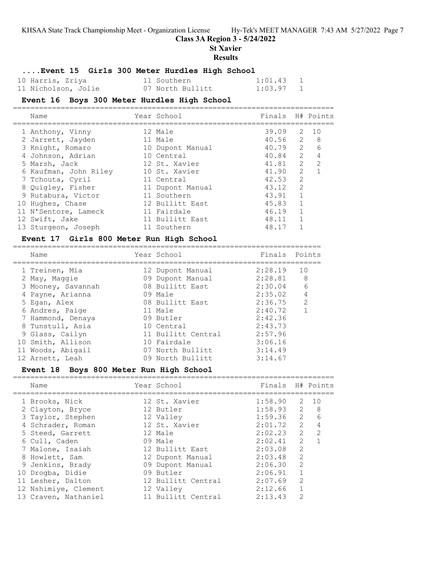**Class 3A Region 3 - 5/24/2022**

**St Xavier**

#### **Results**

## **....Event 15 Girls 300 Meter Hurdles High School**

| 10 Harris, Zriya    | 11 Southern      | $1:01.43$ 1 |                |
|---------------------|------------------|-------------|----------------|
| 11 Nicholson, Jolie | 07 North Bullitt | 1:03.97     | $\overline{1}$ |

## **Event 16 Boys 300 Meter Hurdles High School**

| Name                  | Year School      | Finals H# Points |                |                |
|-----------------------|------------------|------------------|----------------|----------------|
| 1 Anthony, Vinny      | 12 Male          | 39.09            |                | 2 10           |
| 2 Jarrett, Jayden     | 11 Male          | 40.56 2 8        |                |                |
| 3 Knight, Romaro      | 10 Dupont Manual | 40.79            | $\overline{2}$ | 6              |
| 4 Johnson, Adrian     | 10 Central       | 40.84            | $\overline{c}$ | $\overline{4}$ |
| 5 Marsh, Jack         | 12 St. Xavier    | 41.81            | $\overline{2}$ | 2              |
| 6 Kaufman, John Riley | 10 St. Xavier    | 41.90            | $\mathcal{L}$  |                |
| 7 Tchouta, Cyril      | 11 Central       | 42.53            | 2              |                |
| 8 Quigley, Fisher     | 11 Dupont Manual | 43.12            | $\mathcal{L}$  |                |
| 9 Rutabura, Victor    | 11 Southern      | 43.91            |                |                |
| 10 Hughes, Chase      | 12 Bullitt East  | 45.83            | $\mathbf{1}$   |                |
| 11 N'Sentore, Lameck  | 11 Fairdale      | 46.19            | 1              |                |
| 12 Swift, Jake        | 11 Bullitt East  | 48.11            |                |                |
| 13 Sturgeon, Joseph   | 11 Southern      | 48.17            |                |                |

## **Event 17 Girls 800 Meter Run High School**

| Name               |  | Finals                                                                                                                                                                                                                  | Points         |
|--------------------|--|-------------------------------------------------------------------------------------------------------------------------------------------------------------------------------------------------------------------------|----------------|
| 1 Treinen, Mia     |  | 2:28.19                                                                                                                                                                                                                 | 10             |
| 2 May, Maggie      |  | $2:28.81$ 8                                                                                                                                                                                                             |                |
| 3 Mooney, Savannah |  | 2:30.04                                                                                                                                                                                                                 | 6              |
| 4 Payne, Arianna   |  | 2:35.02                                                                                                                                                                                                                 | $\overline{4}$ |
| 5 Egan, Alex       |  | 2:36.75                                                                                                                                                                                                                 | $\mathcal{P}$  |
| 6 Andres, Paige    |  | 2:40.72                                                                                                                                                                                                                 |                |
| 7 Hammond, Denaya  |  | 2:42.36                                                                                                                                                                                                                 |                |
| 8 Tunstull, Asia   |  | 2:43.73                                                                                                                                                                                                                 |                |
| 9 Glass, Cailyn    |  | 2:57.96                                                                                                                                                                                                                 |                |
| 10 Smith, Allison  |  | 3:06.16                                                                                                                                                                                                                 |                |
| 11 Woods, Abigail  |  | 3:14.49                                                                                                                                                                                                                 |                |
| 12 Arnett, Leah    |  | 3:14.67                                                                                                                                                                                                                 |                |
|                    |  | Year School<br>12 Dupont Manual<br>09 Dupont Manual<br>08 Bullitt East<br>09 Male<br>08 Bullitt East<br>11 Male<br>09 Butler<br>10 Central<br>11 Bullitt Central<br>10 Fairdale<br>07 North Bullitt<br>09 North Bullitt |                |

## **Event 18 Boys 800 Meter Run High School**

| Name                 | Year School        | Finals H# Points |                |                |
|----------------------|--------------------|------------------|----------------|----------------|
| 1 Brooks, Nick       | 12 St. Xavier      | 1:58.90          | 2              | 10             |
| 2 Clayton, Bryce     | 12 Butler          | $1:58.93$ 2 8    |                |                |
| 3 Taylor, Stephen    | 12 Valley          | 1:59.36          | $\mathcal{L}$  | 6              |
| 4 Schrader, Roman    | 12 St. Xavier      | 2:01.72          | 2              | 4              |
| 5 Steed, Garrett     | 12 Male            | 2:02.23          | $\overline{2}$ | $\overline{2}$ |
| 6 Cull, Caden        | 09 Male            | 2:02.41          | $\mathcal{P}$  |                |
| 7 Malone, Isaiah     | 12 Bullitt East    | 2:03.08          | 2              |                |
| 8 Howlett, Sam       | 12 Dupont Manual   | 2:03.48          | $\mathcal{L}$  |                |
| 9 Jenkins, Brady     | 09 Dupont Manual   | 2:06.30          | $\mathcal{L}$  |                |
| 10 Drogba, Didie     | 09 Butler          | 2:06.91          | $\mathbf{1}$   |                |
| 11 Lesher, Dalton    | 12 Bullitt Central | 2:07.69          | $\mathcal{L}$  |                |
| 12 Nshimiye, Clement | 12 Valley          | 2:12.66          | $\mathbf{1}$   |                |
| 13 Craven, Nathaniel | 11 Bullitt Central | 2:13.43          | $\mathcal{D}$  |                |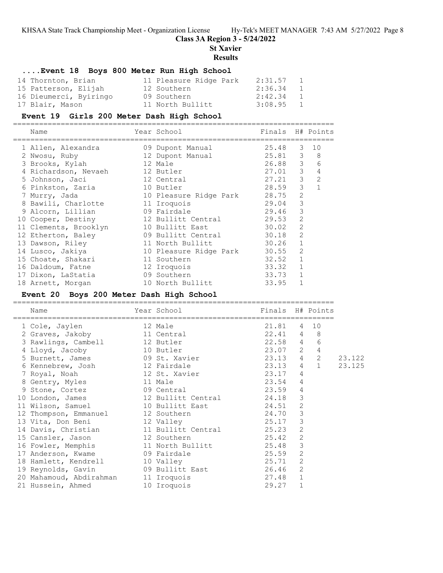## **Class 3A Region 3 - 5/24/2022**

**St Xavier**

## **Results**

## **....Event 18 Boys 800 Meter Run High School**

| 14 Thornton, Brian     | 11 Pleasure Ridge Park | 2:31.57   | $\mathbf{1}$ |
|------------------------|------------------------|-----------|--------------|
| 15 Patterson, Elijah   | 12 Southern            | 2:36.34 1 |              |
| 16 Dieumerci, Byiringo | 09 Southern            | 2:42.34 1 |              |
| 17 Blair, Mason        | 11 North Bullitt       | 3:08.95 1 |              |

#### **Event 19 Girls 200 Meter Dash High School**

==========================================================================

| Name                  | Year School            | Finals  |                | H# Points      |
|-----------------------|------------------------|---------|----------------|----------------|
| 1 Allen, Alexandra    | 09 Dupont Manual       | 25.48 3 |                | 10             |
| 2 Nwosu, Ruby         | 12 Dupont Manual       | 25.81 3 |                | 8              |
| 3 Brooks, Kylah       | 12 Male                | 26.88 3 |                | 6              |
| 4 Richardson, Nevaeh  | 12 Butler              | 27.01   | 3              | 4              |
| 5 Johnson, Jaci       | 12 Central             | 27.21   | 3              | $\overline{2}$ |
| 6 Pinkston, Zaria     | 10 Butler              | 28.59   | 3              |                |
| 7 Murry, Jada         | 10 Pleasure Ridge Park | 28.75   | $\overline{2}$ |                |
| 8 Bawili, Charlotte   | 11 Iroquois            | 29.04   | 3              |                |
| 9 Alcorn, Lillian     | 09 Fairdale            | 29.46   | 3              |                |
| 10 Cooper, Destiny    | 12 Bullitt Central     | 29.53   | 2              |                |
| 11 Clements, Brooklyn | 10 Bullitt East        | 30.02   | $\mathcal{L}$  |                |
| 12 Etherton, Baley    | 09 Bullitt Central     | 30.18   | 2              |                |
| 13 Dawson, Riley      | 11 North Bullitt       | 30.26   | $\mathbf{1}$   |                |
| 14 Lusco, Jakiya      | 10 Pleasure Ridge Park | 30.55   | 2              |                |
| 15 Choate, Shakari    | 11 Southern            | 32.52   | $\mathbf 1$    |                |
| 16 Daldoum, Fatne     | 12 Iroquois            | 33.32   | $\mathbf{1}$   |                |
| 17 Dixon, LaStatia    | 09 Southern            | 33.73   | $\mathbf{1}$   |                |
| 18 Arnett, Morgan     | 10 North Bullitt       | 33.95   | $\mathbf{1}$   |                |

#### **Event 20 Boys 200 Meter Dash High School**

|                                              | =====================================     |                  |                |              |        |
|----------------------------------------------|-------------------------------------------|------------------|----------------|--------------|--------|
| Name<br>==============================       | Year School and the School and the School | Finals H# Points |                |              |        |
| 12 Male<br>1 Cole, Jaylen                    |                                           | 21.81            |                | 4 10         |        |
| 2 Graves, Jakoby 11 Central                  |                                           | $22.41$ 4 8      |                |              |        |
| 3 Rawlings, Cambell 12 Butler                |                                           | 22.58 4          |                | 6            |        |
| 4 Lloyd, Jacoby                              | 10 Butler                                 | 23.07 2          |                | $\sqrt{4}$   |        |
| 5 Burnett, James 69 St. Xavier               |                                           | 23.13 4          |                | 2            | 23.122 |
| 6 Kennebrew, Josh 12 Fairdale                |                                           | 23.13            | $\overline{4}$ | $\mathbf{1}$ | 23.125 |
| 7 Royal, Noah 12 St. Xavier                  |                                           | 23.17            | $\overline{4}$ |              |        |
| 8 Gentry, Myles 11 Male                      |                                           | 23.54            | $\overline{4}$ |              |        |
|                                              |                                           |                  | 4              |              |        |
|                                              |                                           |                  | 3              |              |        |
| 11 Wilson, Samuel 10 Bullitt East            | 24.51                                     |                  | $\overline{c}$ |              |        |
| 12 Thompson, Emmanuel 12 Southern            | 24.70                                     |                  | 3              |              |        |
| 13 Vita, Don Beni 12 Valley                  |                                           | 25.17            | 3              |              |        |
| 14 Davis, Christian 11 Bullitt Central 25.23 |                                           |                  | $\overline{2}$ |              |        |
| 15 Cansler, Jason 12 Southern                | 25.42                                     |                  | $\overline{2}$ |              |        |
| 16 Fowler, Memphis 11 North Bullitt 25.48    |                                           |                  | 3              |              |        |
| 17 Anderson, Kwame 69 Fairdale               |                                           | 25.59            | $\overline{2}$ |              |        |
| 18 Hamlett, Kendrell                         | 10 Valley                                 | 25.71            | $\mathbf{2}$   |              |        |
| 19 Reynolds, Gavin 69 Bullitt East 26.46     |                                           |                  | $\overline{c}$ |              |        |
| 20 Mahamoud, Abdirahman                      | 11 Iroquois                               | 27.48            | $\mathbf{1}$   |              |        |
| 21 Hussein, Ahmed                            | 10 Iroquois                               | 29.27            | $\mathbf 1$    |              |        |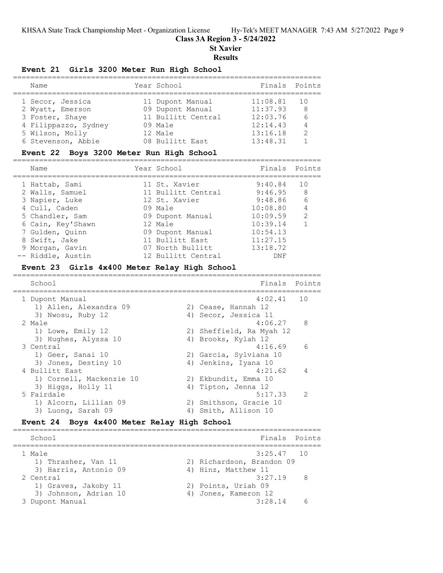## **Class 3A Region 3 - 5/24/2022**

**St Xavier**

#### **Results**

## **Event 21 Girls 3200 Meter Run High School**

| Name                 | Year School        | Finals Points |     |
|----------------------|--------------------|---------------|-----|
| 1 Secor, Jessica     | 11 Dupont Manual   | 11:08.81      | 1 O |
| 2 Wyatt, Emerson     | 09 Dupont Manual   | 11:37.93      | -8  |
| 3 Foster, Shaye      | 11 Bullitt Central | 12:03.76      | 6   |
| 4 Filippazzo, Sydney | 09 Male            | 12:14.43      | 4   |
| 5 Wilson, Molly      | 12 Male            | 13:16.18      | 2   |
| 6 Stevenson, Abbie   | 08 Bullitt East    | 13:48.31      |     |

## **Event 22 Boys 3200 Meter Run High School**

| Name                                                                                                                                                                | Year School                                                                                                                                               | Finals Points                                                                                                  |                                        |
|---------------------------------------------------------------------------------------------------------------------------------------------------------------------|-----------------------------------------------------------------------------------------------------------------------------------------------------------|----------------------------------------------------------------------------------------------------------------|----------------------------------------|
| 1 Hattab, Sami<br>2 Walls, Samuel<br>3 Napier, Luke<br>4 Cull, Caden<br>5 Chandler, Sam<br>6 Cain, Key'Shawn<br>7 Gulden, Ouinn<br>8 Swift, Jake<br>9 Morgan, Gavin | 11 St. Xavier<br>11 Bullitt Central<br>12 St. Xavier<br>09 Male<br>09 Dupont Manual<br>12 Male<br>09 Dupont Manual<br>11 Bullitt East<br>07 North Bullitt | $9:40.84$ 10<br>$9:46.95$ 8<br>9:48.86<br>10:08.80<br>10:09.59<br>10:39.14<br>10:54.13<br>11:27.15<br>13:18.72 | - 6<br>$\overline{4}$<br>$\mathcal{P}$ |
| -- Riddle, Austin                                                                                                                                                   | 12 Bullitt Central                                                                                                                                        | DNF                                                                                                            |                                        |

#### **Event 23 Girls 4x400 Meter Relay High School**

| School                   |    | Finals                   | Points         |
|--------------------------|----|--------------------------|----------------|
| 1 Dupont Manual          |    | $4:02.41$ 10             |                |
| 1) Allen, Alexandra 09   |    | 2) Cease, Hannah 12      |                |
| 3) Nwosu, Ruby 12        |    | 4) Secor, Jessica 11     |                |
| 2 Male                   |    | $4:06.27$ 8              |                |
| 1) Lowe, Emily 12        |    | 2) Sheffield, Ra Myah 12 |                |
| 3) Hughes, Alyssa 10     |    | 4) Brooks, Kylah 12      |                |
| 3 Central                |    | 4:16.69                  | 6              |
| 1) Geer, Sanai 10        |    | 2) Garcia, Sylviana 10   |                |
| 3) Jones, Destiny 10     |    | 4) Jenkins, Iyana 10     |                |
| 4 Bullitt East           |    | 4:21.62                  | $\overline{4}$ |
| 1) Cornell, Mackenzie 10 |    | 2) Ekbundit, Emma 10     |                |
| 3) Higgs, Holly 11       |    | 4) Tipton, Jenna 12      |                |
| 5 Fairdale               |    | $5:17.33$ 2              |                |
| 1) Alcorn, Lillian 09    |    | 2) Smithson, Gracie 10   |                |
| 3) Luong, Sarah 09       | 4) | Smith, Allison 10        |                |

## **Event 24 Boys 4x400 Meter Relay High School**

| School                | Finals Points                       |  |
|-----------------------|-------------------------------------|--|
| 1 Male                | $3:25.47$ 10                        |  |
| 1) Thrasher, Van 11   | 2) Richardson, Brandon 09           |  |
| 3) Harris, Antonio 09 | 4) Hinz, Matthew 11                 |  |
| 2 Central             | 3:27.19<br>$\overline{\phantom{a}}$ |  |
| 1) Graves, Jakoby 11  | 2) Points, Uriah 09                 |  |
| 3) Johnson, Adrian 10 | 4) Jones, Kameron 12                |  |
| 3 Dupont Manual       | 3:28.14                             |  |
|                       |                                     |  |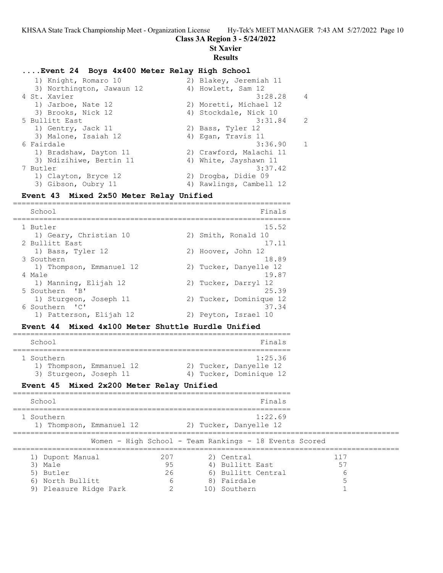#### **Class 3A Region 3 - 5/24/2022**

**St Xavier**

#### **Results**

#### **....Event 24 Boys 4x400 Meter Relay High School**

| 2) Blakey, Jeremiah 11  |                |
|-------------------------|----------------|
| 4) Howlett, Sam 12      |                |
| 3:28.28                 | $\overline{4}$ |
| 2) Moretti, Michael 12  |                |
| 4) Stockdale, Nick 10   |                |
| 3:31.84                 | $\overline{2}$ |
| 2) Bass, Tyler 12       |                |
| 4) Egan, Travis 11      |                |
| 3:36.90                 | $\overline{1}$ |
| 2) Crawford, Malachi 11 |                |
| 4) White, Jayshawn 11   |                |
| 3:37.42                 |                |
| 2) Drogba, Didie 09     |                |
| 4) Rawlings, Cambell 12 |                |
|                         |                |

#### **Event 43 Mixed 2x50 Meter Relay Unified**

================================================================ School **Finals** ================================================================ 1 Butler 15.52<br>1) Geary, Christian 10 2) Smith, Ronald 10 1) Geary, Christian 10 2) Smith, Ronald 10 2 Bullitt East 17.11 2 Bullitt East 17.11 1) Bass, Tyler 12 2) Hoover, John 12 3 Southern 18.89 1) Thompson, Emmanuel 12 2) Tucker, Danyelle 12 4 Male 19.87<br>1) Manning, Elijah 12 (2) Tucker, Darryl 12<br>5 Southers 151 1) Manning, Elijah 12 2) Tucker, Darryl 12 5 Southern 'B' 25.39 1) Sturgeon, Joseph 11 2) Tucker, Dominique 12 6 Southern 'C' 37.34 1) Patterson, Elijah 12 2) Peyton, Israel 10

#### **Event 44 Mixed 4x100 Meter Shuttle Hurdle Unified**

| School                                                           |  | Finals                                                       |
|------------------------------------------------------------------|--|--------------------------------------------------------------|
| 1 Southern<br>1) Thompson, Emmanuel 12<br>3) Sturgeon, Joseph 11 |  | 1:25.36<br>2) Tucker, Danyelle 12<br>4) Tucker, Dominique 12 |

## **Event 45 Mixed 2x200 Meter Relay Unified**

| School                                                                                    |                      | Finals                                                                                           |  |
|-------------------------------------------------------------------------------------------|----------------------|--------------------------------------------------------------------------------------------------|--|
| 1 Southern<br>1) Thompson, Emmanuel 12                                                    |                      | 1:22.69<br>2) Tucker, Danyelle 12                                                                |  |
|                                                                                           |                      | Women - High School - Team Rankings - 18 Events Scored                                           |  |
| 1) Dupont Manual<br>3) Male<br>5) Butler<br>North Bullitt<br>6)<br>9) Pleasure Ridge Park | 207<br>95<br>26<br>6 | 117<br>2) Central<br>4) Bullitt East<br>55<br>6) Bullitt Central<br>b<br>8) Fairdale<br>Southern |  |